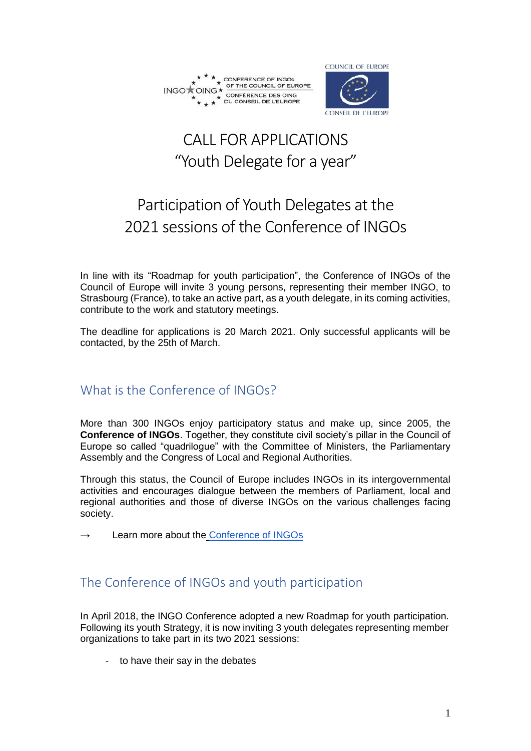



# CALL FOR APPLICATIONS "Youth Delegate for a year"

# Participation of Youth Delegates at the 2021 sessions of the Conference of INGOs

In line with its "Roadmap for youth participation", the Conference of INGOs of the Council of Europe will invite 3 young persons, representing their member INGO, to Strasbourg (France), to take an active part, as a youth delegate, in its coming activities, contribute to the work and statutory meetings.

The deadline for applications is 20 March 2021. Only successful applicants will be contacted, by the 25th of March.

## What is the Conference of INGOs?

More than 300 INGOs enjoy participatory status and make up, since 2005, the **Conference of INGOs.** Together, they constitute civil society's pillar in the Council of Europe so called "quadrilogue" with the Committee of Ministers, the Parliamentary Assembly and the Congress of Local and Regional Authorities.

Through this status, the Council of Europe includes INGOs in its intergovernmental activities and encourages dialogue between the members of Parliament, local and regional authorities and those of diverse INGOs on the various challenges facing society.

Learn more about the [Conference of INGOs](https://www.coe.int/en/web/ingo)

## The Conference of INGOs and youth participation

In April 2018, the INGO Conference adopted a new Roadmap for youth participation. Following its youth Strategy, it is now inviting 3 youth delegates representing member organizations to take part in its two 2021 sessions:

to have their say in the debates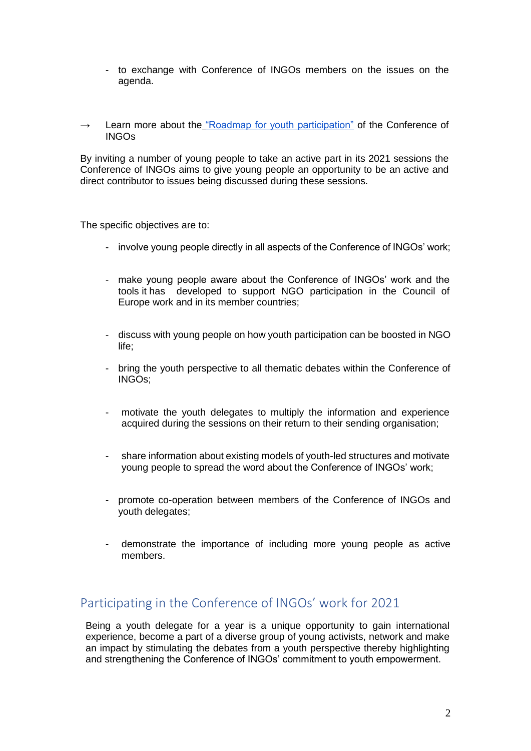- to exchange with Conference of INGOs members on the issues on the agenda.
- $\rightarrow$  Learn more about the ["Roadmap for youth participation"](https://rm.coe.int/rma/component/main) of the Conference of INGOs

By inviting a number of young people to take an active part in its 2021 sessions the Conference of INGOs aims to give young people an opportunity to be an active and direct contributor to issues being discussed during these sessions.

The specific objectives are to:

- involve young people directly in all aspects of the Conference of INGOs' work;
- make young people aware about the Conference of INGOs' work and the tools it has developed to support NGO participation in the Council of Europe work and in its member countries;
- discuss with young people on how youth participation can be boosted in NGO life;
- bring the youth perspective to all thematic debates within the Conference of INGOs;
- motivate the youth delegates to multiply the information and experience acquired during the sessions on their return to their sending organisation;
- share information about existing models of youth-led structures and motivate young people to spread the word about the Conference of INGOs' work;
- promote co-operation between members of the Conference of INGOs and youth delegates;
- demonstrate the importance of including more young people as active members.

## Participating in the Conference of INGOs' work for 2021

Being a youth delegate for a year is a unique opportunity to gain international experience, become a part of a diverse group of young activists, network and make an impact by stimulating the debates from a youth perspective thereby highlighting and strengthening the Conference of INGOs' commitment to youth empowerment.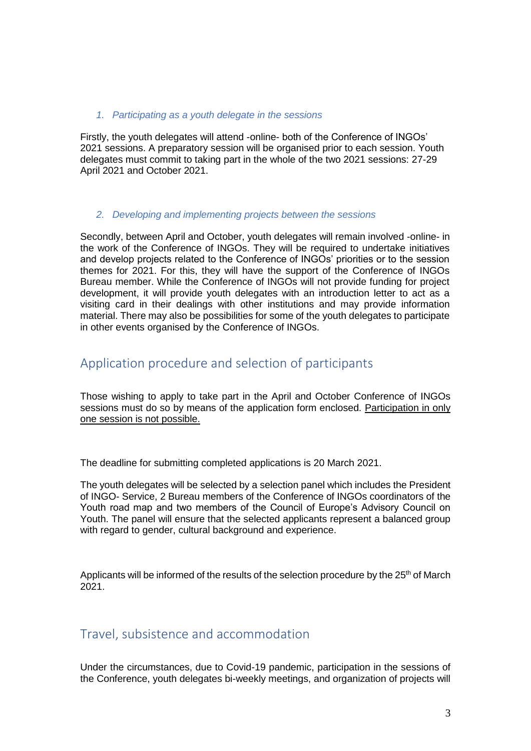#### *1. Participating as a youth delegate in the sessions*

Firstly, the youth delegates will attend -online- both of the Conference of INGOs' 2021 sessions. A preparatory session will be organised prior to each session. Youth delegates must commit to taking part in the whole of the two 2021 sessions: 27-29 April 2021 and October 2021.

#### *2. Developing and implementing projects between the sessions*

Secondly, between April and October, youth delegates will remain involved -online- in the work of the Conference of INGOs. They will be required to undertake initiatives and develop projects related to the Conference of INGOs' priorities or to the session themes for 2021. For this, they will have the support of the Conference of INGOs Bureau member. While the Conference of INGOs will not provide funding for project development, it will provide youth delegates with an introduction letter to act as a visiting card in their dealings with other institutions and may provide information material. There may also be possibilities for some of the youth delegates to participate in other events organised by the Conference of INGOs.

## Application procedure and selection of participants

Those wishing to apply to take part in the April and October Conference of INGOs sessions must do so by means of the application form enclosed. Participation in only one session is not possible.

The deadline for submitting completed applications is 20 March 2021.

The youth delegates will be selected by a selection panel which includes the President of INGO- Service, 2 Bureau members of the Conference of INGOs coordinators of the Youth road map and two members of the Council of Europe's Advisory Council on Youth. The panel will ensure that the selected applicants represent a balanced group with regard to gender, cultural background and experience.

Applicants will be informed of the results of the selection procedure by the  $25<sup>th</sup>$  of March 2021.

## Travel, subsistence and accommodation

Under the circumstances, due to Covid-19 pandemic, participation in the sessions of the Conference, youth delegates bi-weekly meetings, and organization of projects will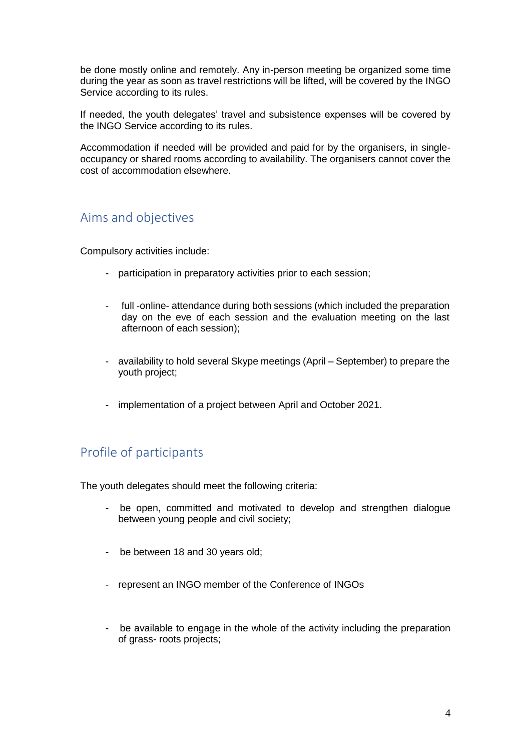be done mostly online and remotely. Any in-person meeting be organized some time during the year as soon as travel restrictions will be lifted, will be covered by the INGO Service according to its rules.

If needed, the youth delegates' travel and subsistence expenses will be covered by the INGO Service according to its rules.

Accommodation if needed will be provided and paid for by the organisers, in singleoccupancy or shared rooms according to availability. The organisers cannot cover the cost of accommodation elsewhere.

## Aims and objectives

Compulsory activities include:

- participation in preparatory activities prior to each session;
- full -online- attendance during both sessions (which included the preparation day on the eve of each session and the evaluation meeting on the last afternoon of each session);
- availability to hold several Skype meetings (April September) to prepare the youth project;
- implementation of a project between April and October 2021.

## Profile of participants

The youth delegates should meet the following criteria:

- be open, committed and motivated to develop and strengthen dialogue between young people and civil society;
- be between 18 and 30 years old;
- represent an INGO member of the Conference of INGOs
- be available to engage in the whole of the activity including the preparation of grass- roots projects;